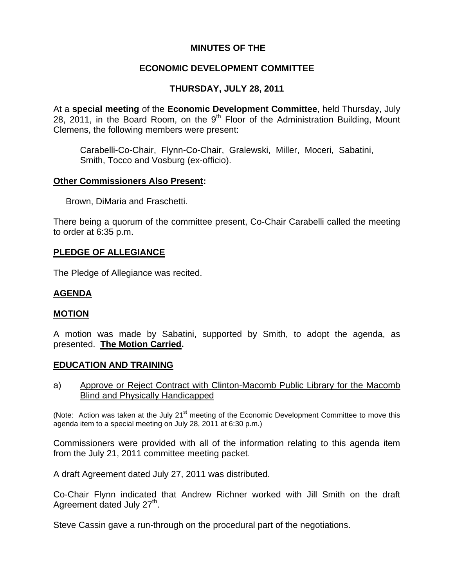## **MINUTES OF THE**

## **ECONOMIC DEVELOPMENT COMMITTEE**

# **THURSDAY, JULY 28, 2011**

At a **special meeting** of the **Economic Development Committee**, held Thursday, July 28, 2011, in the Board Room, on the  $9<sup>th</sup>$  Floor of the Administration Building, Mount Clemens, the following members were present:

Carabelli-Co-Chair, Flynn-Co-Chair, Gralewski, Miller, Moceri, Sabatini, Smith, Tocco and Vosburg (ex-officio).

### **Other Commissioners Also Present:**

Brown, DiMaria and Fraschetti.

There being a quorum of the committee present, Co-Chair Carabelli called the meeting to order at 6:35 p.m.

## **PLEDGE OF ALLEGIANCE**

The Pledge of Allegiance was recited.

# **AGENDA**

## **MOTION**

A motion was made by Sabatini, supported by Smith, to adopt the agenda, as presented. **The Motion Carried.** 

#### **EDUCATION AND TRAINING**

a) Approve or Reject Contract with Clinton-Macomb Public Library for the Macomb Blind and Physically Handicapped

(Note: Action was taken at the July  $21^{st}$  meeting of the Economic Development Committee to move this agenda item to a special meeting on July 28, 2011 at 6:30 p.m.)

Commissioners were provided with all of the information relating to this agenda item from the July 21, 2011 committee meeting packet.

A draft Agreement dated July 27, 2011 was distributed.

Co-Chair Flynn indicated that Andrew Richner worked with Jill Smith on the draft Agreement dated July 27<sup>th</sup>.

Steve Cassin gave a run-through on the procedural part of the negotiations.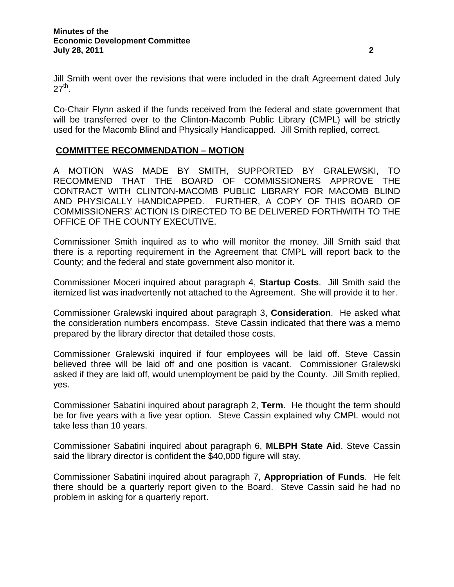Jill Smith went over the revisions that were included in the draft Agreement dated July  $27<sup>th</sup>$ .

Co-Chair Flynn asked if the funds received from the federal and state government that will be transferred over to the Clinton-Macomb Public Library (CMPL) will be strictly used for the Macomb Blind and Physically Handicapped. Jill Smith replied, correct.

## **COMMITTEE RECOMMENDATION – MOTION**

A MOTION WAS MADE BY SMITH, SUPPORTED BY GRALEWSKI, TO RECOMMEND THAT THE BOARD OF COMMISSIONERS APPROVE THE CONTRACT WITH CLINTON-MACOMB PUBLIC LIBRARY FOR MACOMB BLIND AND PHYSICALLY HANDICAPPED. FURTHER, A COPY OF THIS BOARD OF COMMISSIONERS' ACTION IS DIRECTED TO BE DELIVERED FORTHWITH TO THE OFFICE OF THE COUNTY EXECUTIVE.

Commissioner Smith inquired as to who will monitor the money. Jill Smith said that there is a reporting requirement in the Agreement that CMPL will report back to the County; and the federal and state government also monitor it.

Commissioner Moceri inquired about paragraph 4, **Startup Costs**. Jill Smith said the itemized list was inadvertently not attached to the Agreement. She will provide it to her.

Commissioner Gralewski inquired about paragraph 3, **Consideration**. He asked what the consideration numbers encompass. Steve Cassin indicated that there was a memo prepared by the library director that detailed those costs.

Commissioner Gralewski inquired if four employees will be laid off. Steve Cassin believed three will be laid off and one position is vacant. Commissioner Gralewski asked if they are laid off, would unemployment be paid by the County. Jill Smith replied, yes.

Commissioner Sabatini inquired about paragraph 2, **Term**. He thought the term should be for five years with a five year option. Steve Cassin explained why CMPL would not take less than 10 years.

Commissioner Sabatini inquired about paragraph 6, **MLBPH State Aid**. Steve Cassin said the library director is confident the \$40,000 figure will stay.

Commissioner Sabatini inquired about paragraph 7, **Appropriation of Funds**. He felt there should be a quarterly report given to the Board. Steve Cassin said he had no problem in asking for a quarterly report.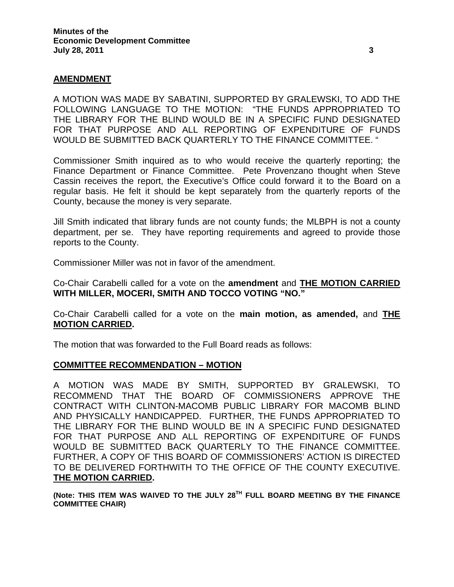### **AMENDMENT**

A MOTION WAS MADE BY SABATINI, SUPPORTED BY GRALEWSKI, TO ADD THE FOLLOWING LANGUAGE TO THE MOTION: "THE FUNDS APPROPRIATED TO THE LIBRARY FOR THE BLIND WOULD BE IN A SPECIFIC FUND DESIGNATED FOR THAT PURPOSE AND ALL REPORTING OF EXPENDITURE OF FUNDS WOULD BE SUBMITTED BACK QUARTERLY TO THE FINANCE COMMITTEE. "

Commissioner Smith inquired as to who would receive the quarterly reporting; the Finance Department or Finance Committee. Pete Provenzano thought when Steve Cassin receives the report, the Executive's Office could forward it to the Board on a regular basis. He felt it should be kept separately from the quarterly reports of the County, because the money is very separate.

Jill Smith indicated that library funds are not county funds; the MLBPH is not a county department, per se. They have reporting requirements and agreed to provide those reports to the County.

Commissioner Miller was not in favor of the amendment.

Co-Chair Carabelli called for a vote on the **amendment** and **THE MOTION CARRIED WITH MILLER, MOCERI, SMITH AND TOCCO VOTING "NO."** 

Co-Chair Carabelli called for a vote on the **main motion, as amended,** and **THE MOTION CARRIED.**

The motion that was forwarded to the Full Board reads as follows:

#### **COMMITTEE RECOMMENDATION – MOTION**

A MOTION WAS MADE BY SMITH, SUPPORTED BY GRALEWSKI, TO RECOMMEND THAT THE BOARD OF COMMISSIONERS APPROVE THE CONTRACT WITH CLINTON-MACOMB PUBLIC LIBRARY FOR MACOMB BLIND AND PHYSICALLY HANDICAPPED. FURTHER, THE FUNDS APPROPRIATED TO THE LIBRARY FOR THE BLIND WOULD BE IN A SPECIFIC FUND DESIGNATED FOR THAT PURPOSE AND ALL REPORTING OF EXPENDITURE OF FUNDS WOULD BE SUBMITTED BACK QUARTERLY TO THE FINANCE COMMITTEE. FURTHER, A COPY OF THIS BOARD OF COMMISSIONERS' ACTION IS DIRECTED TO BE DELIVERED FORTHWITH TO THE OFFICE OF THE COUNTY EXECUTIVE. **THE MOTION CARRIED.** 

**(Note: THIS ITEM WAS WAIVED TO THE JULY 28TH FULL BOARD MEETING BY THE FINANCE COMMITTEE CHAIR)**